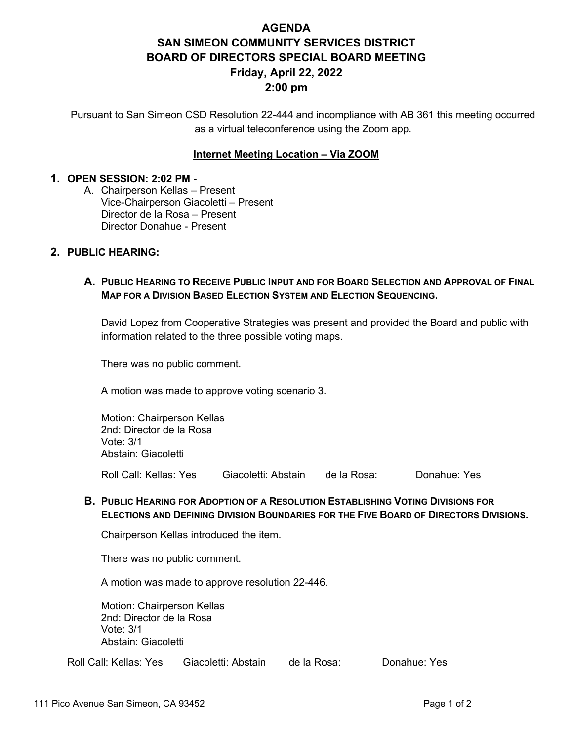# **AGENDA SAN SIMEON COMMUNITY SERVICES DISTRICT BOARD OF DIRECTORS SPECIAL BOARD MEETING Friday, April 22, 2022 2:00 pm**

Pursuant to San Simeon CSD Resolution 22-444 and incompliance with AB 361 this meeting occurred as a virtual teleconference using the Zoom app.

### **Internet Meeting Location – Via ZOOM**

#### **1. OPEN SESSION: 2:02 PM -**

A. Chairperson Kellas – Present Vice-Chairperson Giacoletti – Present Director de la Rosa – Present Director Donahue - Present

#### **2. PUBLIC HEARING:**

## **A. PUBLIC HEARING TO RECEIVE PUBLIC INPUT AND FOR BOARD SELECTION AND APPROVAL OF FINAL MAP FOR A DIVISION BASED ELECTION SYSTEM AND ELECTION SEQUENCING.**

David Lopez from Cooperative Strategies was present and provided the Board and public with information related to the three possible voting maps.

There was no public comment.

A motion was made to approve voting scenario 3.

Motion: Chairperson Kellas 2nd: Director de la Rosa Vote: 3/1 Abstain: Giacoletti

Roll Call: Kellas: Yes Giacoletti: Abstain de la Rosa: Donahue: Yes

### **B. PUBLIC HEARING FOR ADOPTION OF A RESOLUTION ESTABLISHING VOTING DIVISIONS FOR ELECTIONS AND DEFINING DIVISION BOUNDARIES FOR THE FIVE BOARD OF DIRECTORS DIVISIONS.**

Chairperson Kellas introduced the item.

There was no public comment.

A motion was made to approve resolution 22-446.

Motion: Chairperson Kellas 2nd: Director de la Rosa Vote: 3/1 Abstain: Giacoletti

Roll Call: Kellas: Yes Giacoletti: Abstain de la Rosa: Donahue: Yes